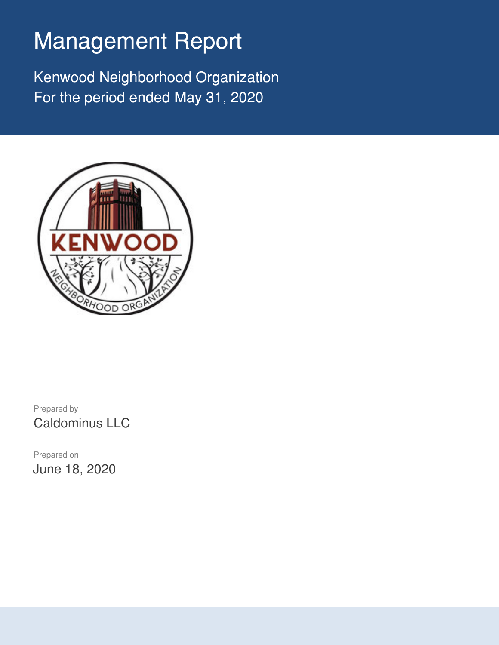# Management Report

Kenwood Neighborhood Organization For the period ended May 31, 2020



Prepared by Caldominus LLC

Prepared on June 18, 2020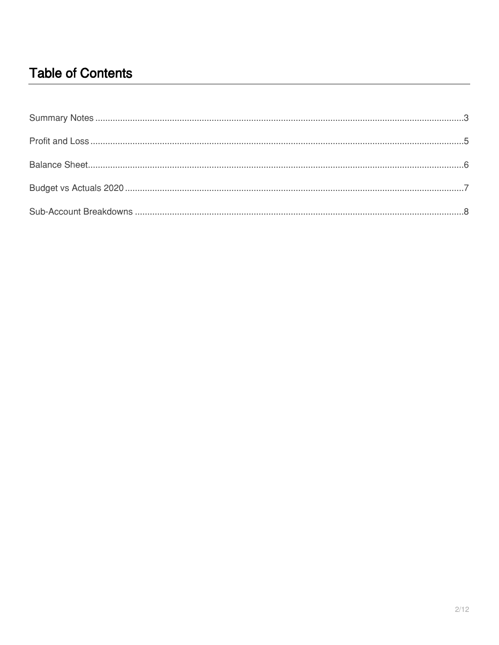# **Table of Contents**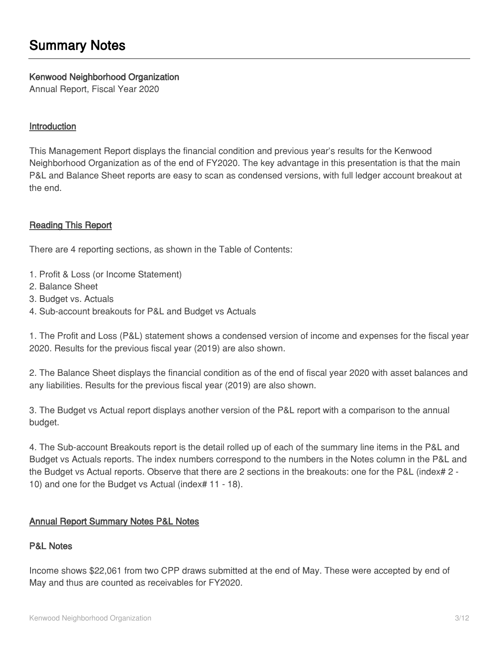### <span id="page-2-0"></span>**Kenwood Neighborhood Organization**

Annual Report, Fiscal Year 2020

### **Introduction**

This Management Report displays the financial condition and previous year's results for the Kenwood Neighborhood Organization as of the end of FY2020. The key advantage in this presentation is that the main P&L and Balance Sheet reports are easy to scan as condensed versions, with full ledger account breakout at the end.

### **Reading This Report**

There are 4 reporting sections, as shown in the Table of Contents:

- 1. Profit & Loss (or Income Statement)
- 2. Balance Sheet
- 3. Budget vs. Actuals
- 4. Sub-account breakouts for P&L and Budget vs Actuals

1. The Profit and Loss (P&L) statement shows a condensed version of income and expenses for the fiscal year 2020. Results for the previous fiscal year (2019) are also shown.

2. The Balance Sheet displays the financial condition as of the end of fiscal year 2020 with asset balances and any liabilities. Results for the previous fiscal year (2019) are also shown.

3. The Budget vs Actual report displays another version of the P&L report with a comparison to the annual budget.

4. The Sub-account Breakouts report is the detail rolled up of each of the summary line items in the P&L and Budget vs Actuals reports. The index numbers correspond to the numbers in the Notes column in the P&L and the Budget vs Actual reports. Observe that there are 2 sections in the breakouts: one for the P&L (index# 2 -10) and one for the Budget vs Actual (index# 11 - 18).

### **Annual Report Summary Notes P&L Notes**

#### **P&L Notes**

Income shows \$22,061 from two CPP draws submitted at the end of May. These were accepted by end of May and thus are counted as receivables for FY2020.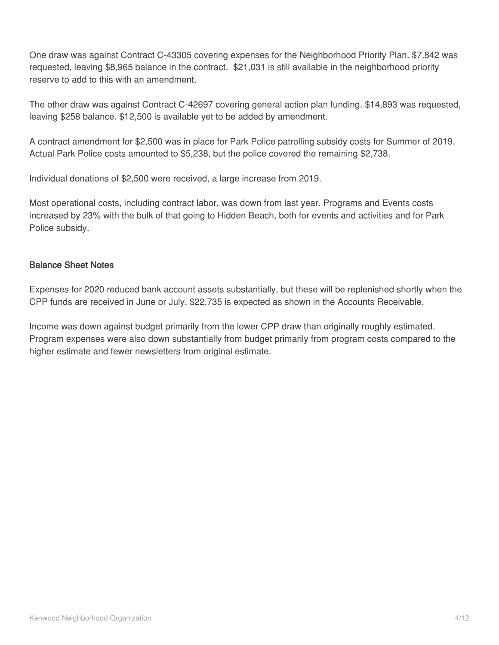One draw was against Contract C-43305 covering expenses for the Neighborhood Priority Plan. \$7,842 was requested, leaving \$8,965 balance in the contract. \$21,031 is still available in the neighborhood priority reserve to add to this with an amendment.

The other draw was against Contract C-42697 covering general action plan funding. \$14,893 was requested, leaving \$258 balance. \$12,500 is available yet to be added by amendment.

A contract amendment for \$2,500 was in place for Park Police patrolling subsidy costs for Summer of 2019. Actual Park Police costs amounted to \$5,238, but the police covered the remaining \$2,738.

Individual donations of \$2,500 were received, a large increase from 2019.

Most operational costs, including contract labor, was down from last year. Programs and Events costs increased by 23% with the bulk of that going to Hidden Beach, both for events and activities and for Park Police subsidy.

#### **Balance Sheet Notes**

Expenses for 2020 reduced bank account assets substantially, but these will be replenished shortly when the CPP funds are received in June or July. \$22,735 is expected as shown in the Accounts Receivable.

Income was down against budget primarily from the lower CPP draw than originally roughly estimated. Program expenses were also down substantially from budget primarily from program costs compared to the higher estimate and fewer newsletters from original estimate.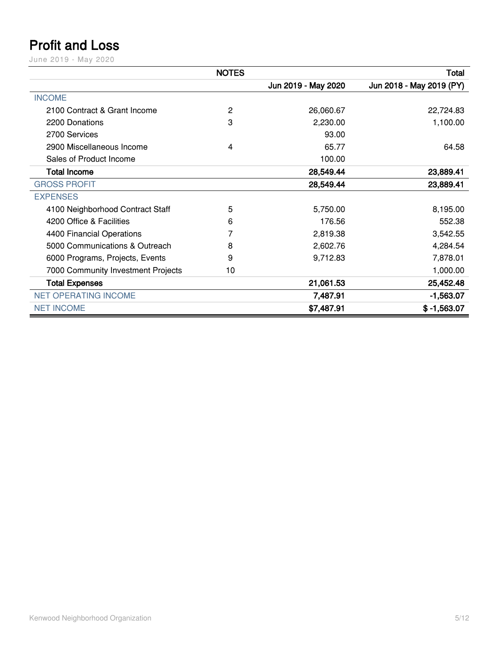# <span id="page-4-0"></span>**Profit and Loss**

June 2019 - May 2020

|                                    | <b>NOTES</b> |                     | <b>Total</b>             |
|------------------------------------|--------------|---------------------|--------------------------|
|                                    |              | Jun 2019 - May 2020 | Jun 2018 - May 2019 (PY) |
| <b>INCOME</b>                      |              |                     |                          |
| 2100 Contract & Grant Income       | 2            | 26,060.67           | 22,724.83                |
| 2200 Donations                     | 3            | 2,230.00            | 1,100.00                 |
| 2700 Services                      |              | 93.00               |                          |
| 2900 Miscellaneous Income          | 4            | 65.77               | 64.58                    |
| Sales of Product Income            |              | 100.00              |                          |
| <b>Total Income</b>                |              | 28,549.44           | 23,889.41                |
| <b>GROSS PROFIT</b>                |              | 28,549.44           | 23,889.41                |
| <b>EXPENSES</b>                    |              |                     |                          |
| 4100 Neighborhood Contract Staff   | 5            | 5,750.00            | 8,195.00                 |
| 4200 Office & Facilities           | 6            | 176.56              | 552.38                   |
| 4400 Financial Operations          | 7            | 2,819.38            | 3,542.55                 |
| 5000 Communications & Outreach     | 8            | 2,602.76            | 4,284.54                 |
| 6000 Programs, Projects, Events    | 9            | 9,712.83            | 7,878.01                 |
| 7000 Community Investment Projects | 10           |                     | 1,000.00                 |
| <b>Total Expenses</b>              |              | 21,061.53           | 25,452.48                |
| <b>NET OPERATING INCOME</b>        |              | 7,487.91            | $-1,563.07$              |
| <b>NET INCOME</b>                  |              | \$7,487.91          | $$ -1,563.07$            |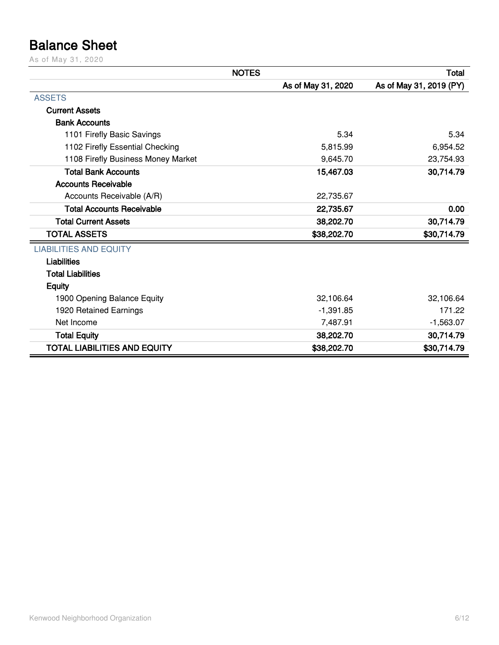# <span id="page-5-0"></span>**Balance Sheet**

As of May 31, 2020

|                                     | <b>NOTES</b>       | <b>Total</b>            |
|-------------------------------------|--------------------|-------------------------|
|                                     | As of May 31, 2020 | As of May 31, 2019 (PY) |
| <b>ASSETS</b>                       |                    |                         |
| <b>Current Assets</b>               |                    |                         |
| <b>Bank Accounts</b>                |                    |                         |
| 1101 Firefly Basic Savings          | 5.34               | 5.34                    |
| 1102 Firefly Essential Checking     | 5,815.99           | 6,954.52                |
| 1108 Firefly Business Money Market  | 9,645.70           | 23,754.93               |
| <b>Total Bank Accounts</b>          | 15,467.03          | 30,714.79               |
| <b>Accounts Receivable</b>          |                    |                         |
| Accounts Receivable (A/R)           | 22,735.67          |                         |
| <b>Total Accounts Receivable</b>    | 22,735.67          | 0.00                    |
| <b>Total Current Assets</b>         | 38,202.70          | 30,714.79               |
| <b>TOTAL ASSETS</b>                 | \$38,202.70        | \$30,714.79             |
| <b>LIABILITIES AND EQUITY</b>       |                    |                         |
| <b>Liabilities</b>                  |                    |                         |
| <b>Total Liabilities</b>            |                    |                         |
| <b>Equity</b>                       |                    |                         |
| 1900 Opening Balance Equity         | 32,106.64          | 32,106.64               |
| 1920 Retained Earnings              | $-1,391.85$        | 171.22                  |
| Net Income                          | 7,487.91           | $-1,563.07$             |
| <b>Total Equity</b>                 | 38,202.70          | 30,714.79               |
| <b>TOTAL LIABILITIES AND EQUITY</b> | \$38,202.70        | \$30,714.79             |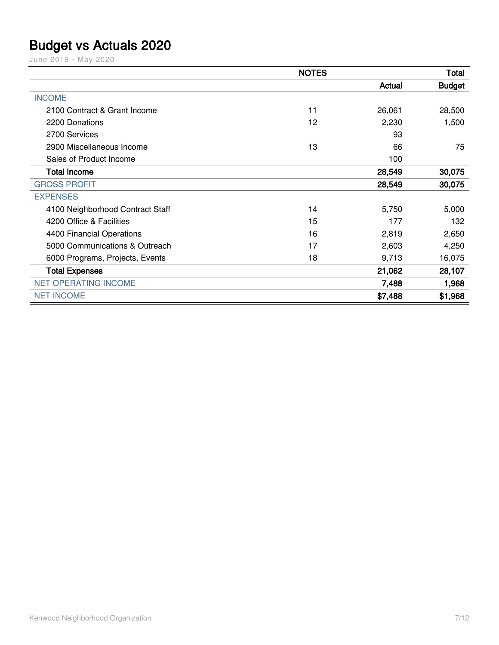### <span id="page-6-0"></span>**Budget vs Actuals 2020**

June 2019 - May 2020

|                                  | <b>NOTES</b> |         | <b>Total</b>  |
|----------------------------------|--------------|---------|---------------|
|                                  |              | Actual  | <b>Budget</b> |
| <b>INCOME</b>                    |              |         |               |
| 2100 Contract & Grant Income     | 11           | 26,061  | 28,500        |
| 2200 Donations                   | 12           | 2,230   | 1,500         |
| 2700 Services                    |              | 93      |               |
| 2900 Miscellaneous Income        | 13           | 66      | 75            |
| Sales of Product Income          |              | 100     |               |
| <b>Total Income</b>              |              | 28,549  | 30,075        |
| <b>GROSS PROFIT</b>              |              | 28,549  | 30,075        |
| <b>EXPENSES</b>                  |              |         |               |
| 4100 Neighborhood Contract Staff | 14           | 5,750   | 5,000         |
| 4200 Office & Facilities         | 15           | 177     | 132           |
| 4400 Financial Operations        | 16           | 2,819   | 2,650         |
| 5000 Communications & Outreach   | 17           | 2,603   | 4,250         |
| 6000 Programs, Projects, Events  | 18           | 9,713   | 16,075        |
| <b>Total Expenses</b>            |              | 21,062  | 28,107        |
| <b>NET OPERATING INCOME</b>      |              | 7,488   | 1,968         |
| <b>NET INCOME</b>                |              | \$7,488 | \$1,968       |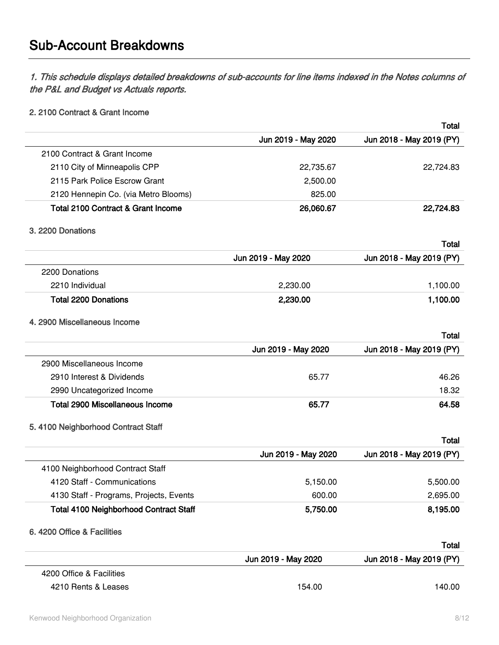## <span id="page-7-0"></span>**Sub-Account Breakdowns**

*1. This schedule displays detailed breakdowns of sub-accounts for line items indexed in the Notes columns of the P&L and Budget vs Actuals reports.*

#### **2. 2100 Contract & Grant Income**

|                                         |                     | <b>Total</b>             |
|-----------------------------------------|---------------------|--------------------------|
|                                         | Jun 2019 - May 2020 | Jun 2018 - May 2019 (PY) |
| 2100 Contract & Grant Income            |                     |                          |
| 2110 City of Minneapolis CPP            | 22,735.67           | 22,724.83                |
| 2115 Park Police Escrow Grant           | 2,500.00            |                          |
| 2120 Hennepin Co. (via Metro Blooms)    | 825.00              |                          |
| Total 2100 Contract & Grant Income      | 26,060.67           | 22,724.83                |
| 3. 2200 Donations                       |                     |                          |
|                                         |                     | Total                    |
|                                         | Jun 2019 - May 2020 | Jun 2018 - May 2019 (PY) |
| 2200 Donations                          |                     |                          |
| 2210 Individual                         | 2,230.00            | 1,100.00                 |
| <b>Total 2200 Donations</b>             | 2,230.00            | 1,100.00                 |
| 4. 2900 Miscellaneous Income            |                     |                          |
|                                         |                     | Total                    |
|                                         | Jun 2019 - May 2020 | Jun 2018 - May 2019 (PY) |
| 2900 Miscellaneous Income               |                     |                          |
| 2910 Interest & Dividends               | 65.77               | 46.26                    |
| 2990 Uncategorized Income               |                     | 18.32                    |
| <b>Total 2900 Miscellaneous Income</b>  | 65.77               | 64.58                    |
| 5. 4100 Neighborhood Contract Staff     |                     |                          |
|                                         |                     | Total                    |
|                                         | Jun 2019 - May 2020 | Jun 2018 - May 2019 (PY) |
| 4100 Neighborhood Contract Staff        |                     |                          |
| 4120 Staff - Communications             | 5,150.00            | 5,500.00                 |
| 4130 Staff - Programs, Projects, Events | 600.00              | 2,695.00                 |
| Total 4100 Neighborhood Contract Staff  | 5,750.00            | 8,195.00                 |
| 6. 4200 Office & Facilities             |                     |                          |
|                                         |                     | <b>Total</b>             |
|                                         | Jun 2019 - May 2020 | Jun 2018 - May 2019 (PY) |
| 4200 Office & Facilities                |                     |                          |
| 4210 Rents & Leases                     | 154.00              | 140.00                   |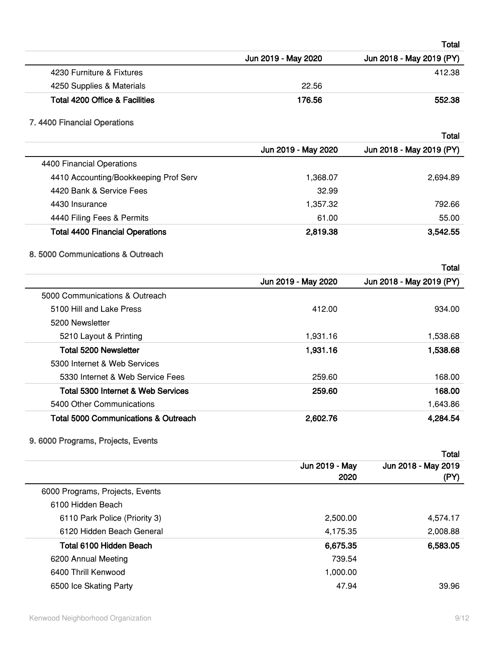|                                                                              |                     | Total                             |
|------------------------------------------------------------------------------|---------------------|-----------------------------------|
|                                                                              | Jun 2019 - May 2020 | Jun 2018 - May 2019 (PY)          |
| 4230 Furniture & Fixtures                                                    |                     | 412.38                            |
| 4250 Supplies & Materials                                                    | 22.56               |                                   |
| Total 4200 Office & Facilities                                               | 176.56              | 552.38                            |
| 7. 4400 Financial Operations                                                 |                     |                                   |
|                                                                              |                     | Total                             |
|                                                                              | Jun 2019 - May 2020 | Jun 2018 - May 2019 (PY)          |
| 4400 Financial Operations                                                    |                     |                                   |
| 4410 Accounting/Bookkeeping Prof Serv                                        | 1,368.07            | 2,694.89                          |
| 4420 Bank & Service Fees                                                     | 32.99               |                                   |
| 4430 Insurance                                                               | 1,357.32            | 792.66                            |
| 4440 Filing Fees & Permits                                                   | 61.00               | 55.00                             |
| <b>Total 4400 Financial Operations</b>                                       | 2,819.38            | 3,542.55                          |
| 8.5000 Communications & Outreach                                             |                     |                                   |
|                                                                              | Jun 2019 - May 2020 | Total<br>Jun 2018 - May 2019 (PY) |
| 5000 Communications & Outreach                                               |                     |                                   |
| 5100 Hill and Lake Press                                                     | 412.00              | 934.00                            |
| 5200 Newsletter                                                              |                     |                                   |
| 5210 Layout & Printing                                                       | 1,931.16            | 1,538.68                          |
| <b>Total 5200 Newsletter</b>                                                 | 1,931.16            | 1,538.68                          |
| 5300 Internet & Web Services                                                 |                     |                                   |
| 5330 Internet & Web Service Fees                                             | 259.60              | 168.00                            |
| Total 5300 Internet & Web Services                                           | 259.60              | 168.00                            |
|                                                                              |                     |                                   |
| 5400 Other Communications<br><b>Total 5000 Communications &amp; Outreach</b> | 2,602.76            | 1,643.86<br>4,284.54              |
|                                                                              |                     |                                   |
| 9. 6000 Programs, Projects, Events                                           |                     | <b>Total</b>                      |
|                                                                              | Jun 2019 - May      | Jun 2018 - May 2019               |
|                                                                              | 2020                | (PY)                              |
| 6000 Programs, Projects, Events                                              |                     |                                   |
| 6100 Hidden Beach                                                            |                     |                                   |
| 6110 Park Police (Priority 3)                                                | 2,500.00            | 4,574.17                          |
| 6120 Hidden Beach General                                                    | 4,175.35            | 2,008.88                          |
| Total 6100 Hidden Beach                                                      | 6,675.35            | 6,583.05                          |
| 6200 Annual Meeting                                                          | 739.54              |                                   |
| 6400 Thrill Kenwood                                                          | 1,000.00            |                                   |
| 6500 Ice Skating Party                                                       | 47.94               | 39.96                             |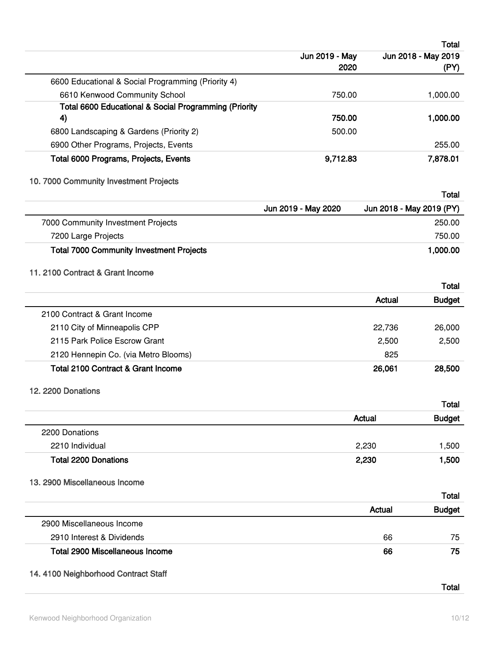|                                                                                        |                     |               | <b>Total</b>             |
|----------------------------------------------------------------------------------------|---------------------|---------------|--------------------------|
|                                                                                        | Jun 2019 - May      |               | Jun 2018 - May 2019      |
|                                                                                        | 2020                |               | (PY)                     |
| 6600 Educational & Social Programming (Priority 4)                                     |                     |               |                          |
| 6610 Kenwood Community School<br>Total 6600 Educational & Social Programming (Priority | 750.00              |               | 1,000.00                 |
| 4)                                                                                     | 750.00              |               | 1,000.00                 |
| 6800 Landscaping & Gardens (Priority 2)                                                | 500.00              |               |                          |
| 6900 Other Programs, Projects, Events                                                  |                     |               | 255.00                   |
| Total 6000 Programs, Projects, Events                                                  | 9,712.83            |               | 7,878.01                 |
| 10. 7000 Community Investment Projects                                                 |                     |               |                          |
|                                                                                        |                     |               | Total                    |
|                                                                                        | Jun 2019 - May 2020 |               | Jun 2018 - May 2019 (PY) |
| 7000 Community Investment Projects                                                     |                     |               | 250.00                   |
| 7200 Large Projects                                                                    |                     |               | 750.00                   |
| <b>Total 7000 Community Investment Projects</b>                                        |                     |               | 1,000.00                 |
| 11. 2100 Contract & Grant Income                                                       |                     |               |                          |
|                                                                                        |                     |               | Total                    |
|                                                                                        |                     | <b>Actual</b> | <b>Budget</b>            |
| 2100 Contract & Grant Income                                                           |                     |               |                          |
| 2110 City of Minneapolis CPP                                                           |                     | 22,736        | 26,000                   |
| 2115 Park Police Escrow Grant                                                          |                     | 2,500         | 2,500                    |
| 2120 Hennepin Co. (via Metro Blooms)                                                   |                     | 825           |                          |
| <b>Total 2100 Contract &amp; Grant Income</b>                                          |                     | 26,061        | 28,500                   |
| 12. 2200 Donations                                                                     |                     |               |                          |
|                                                                                        |                     |               | <b>Total</b>             |
|                                                                                        |                     | Actual        | <b>Budget</b>            |
| 2200 Donations                                                                         |                     |               |                          |
| 2210 Individual                                                                        |                     | 2,230         | 1,500                    |
| <b>Total 2200 Donations</b>                                                            |                     | 2,230         | 1,500                    |
|                                                                                        |                     |               |                          |
| 13. 2900 Miscellaneous Income                                                          |                     |               |                          |
|                                                                                        |                     |               | Total                    |
|                                                                                        |                     | Actual        | <b>Budget</b>            |
| 2900 Miscellaneous Income                                                              |                     |               |                          |
| 2910 Interest & Dividends                                                              |                     | 66            | 75                       |
| <b>Total 2900 Miscellaneous Income</b>                                                 |                     | 66            | 75                       |
| 14. 4100 Neighborhood Contract Staff                                                   |                     |               |                          |
|                                                                                        |                     |               | Total                    |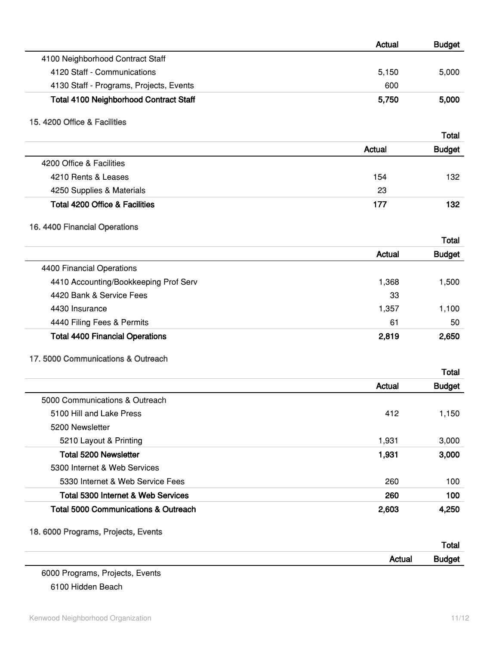|                                                 | <b>Actual</b> | <b>Budget</b> |
|-------------------------------------------------|---------------|---------------|
| 4100 Neighborhood Contract Staff                |               |               |
| 4120 Staff - Communications                     | 5,150         | 5,000         |
| 4130 Staff - Programs, Projects, Events         | 600           |               |
| <b>Total 4100 Neighborhood Contract Staff</b>   | 5,750         | 5,000         |
| 15, 4200 Office & Facilities                    |               |               |
|                                                 |               | Total         |
|                                                 | Actual        | <b>Budget</b> |
| 4200 Office & Facilities                        |               |               |
| 4210 Rents & Leases                             | 154           | 132           |
| 4250 Supplies & Materials                       | 23            |               |
| <b>Total 4200 Office &amp; Facilities</b>       | 177           | 132           |
| 16. 4400 Financial Operations                   |               |               |
|                                                 |               | Total         |
|                                                 | Actual        | <b>Budget</b> |
| 4400 Financial Operations                       |               |               |
| 4410 Accounting/Bookkeeping Prof Serv           | 1,368         | 1,500         |
| 4420 Bank & Service Fees                        | 33            |               |
| 4430 Insurance                                  | 1,357         | 1,100         |
| 4440 Filing Fees & Permits                      | 61            | 50            |
| <b>Total 4400 Financial Operations</b>          | 2,819         | 2,650         |
| 17. 5000 Communications & Outreach              |               |               |
|                                                 |               | Total         |
|                                                 | Actual        | <b>Budget</b> |
| 5000 Communications & Outreach                  |               |               |
| 5100 Hill and Lake Press                        | 412           | 1,150         |
| 5200 Newsletter                                 |               |               |
| 5210 Layout & Printing                          | 1,931         | 3,000         |
| <b>Total 5200 Newsletter</b>                    | 1,931         | 3,000         |
| 5300 Internet & Web Services                    |               |               |
| 5330 Internet & Web Service Fees                | 260           | 100           |
| Total 5300 Internet & Web Services              | 260           | 100           |
| <b>Total 5000 Communications &amp; Outreach</b> | 2,603         | 4,250         |
| 18. 6000 Programs, Projects, Events             |               |               |
|                                                 |               | Total         |
|                                                 | <b>Actual</b> | <b>Budget</b> |

6000 Programs, Projects, Events 6100 Hidden Beach